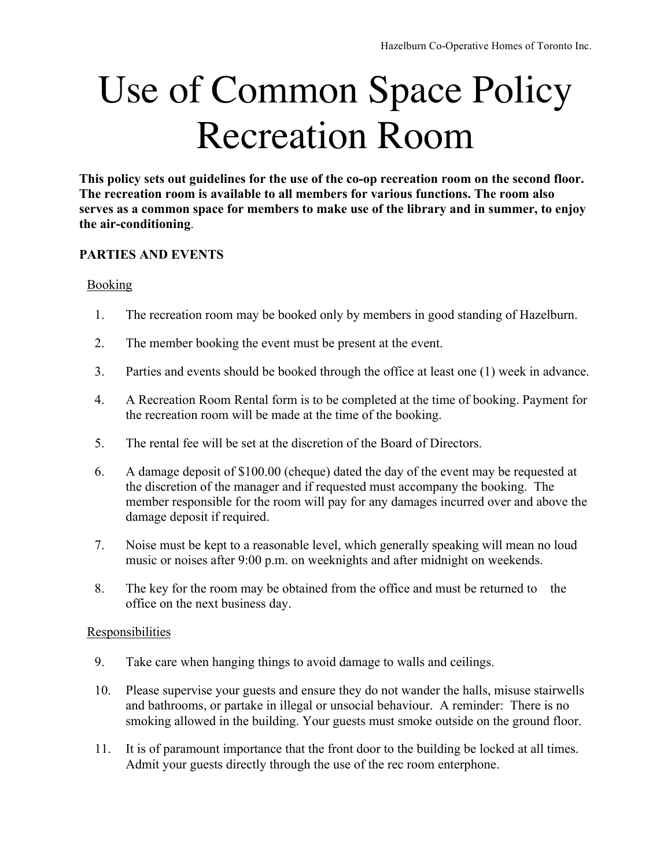# Use of Common Space Policy Recreation Room

**This policy sets out guidelines for the use of the co-op recreation room on the second floor. The recreation room is available to all members for various functions. The room also serves as a common space for members to make use of the library and in summer, to enjoy the air-conditioning**.

# **PARTIES AND EVENTS**

## Booking

- 1. The recreation room may be booked only by members in good standing of Hazelburn.
- 2. The member booking the event must be present at the event.
- 3. Parties and events should be booked through the office at least one (1) week in advance.
- 4. A Recreation Room Rental form is to be completed at the time of booking. Payment for the recreation room will be made at the time of the booking.
- 5. The rental fee will be set at the discretion of the Board of Directors.
- 6. A damage deposit of \$100.00 (cheque) dated the day of the event may be requested at the discretion of the manager and if requested must accompany the booking. The member responsible for the room will pay for any damages incurred over and above the damage deposit if required.
- 7. Noise must be kept to a reasonable level, which generally speaking will mean no loud music or noises after 9:00 p.m. on weeknights and after midnight on weekends.
- 8. The key for the room may be obtained from the office and must be returned to the office on the next business day.

## **Responsibilities**

- 9. Take care when hanging things to avoid damage to walls and ceilings.
- 10. Please supervise your guests and ensure they do not wander the halls, misuse stairwells and bathrooms, or partake in illegal or unsocial behaviour. A reminder: There is no smoking allowed in the building. Your guests must smoke outside on the ground floor.
- 11. It is of paramount importance that the front door to the building be locked at all times. Admit your guests directly through the use of the rec room enterphone.